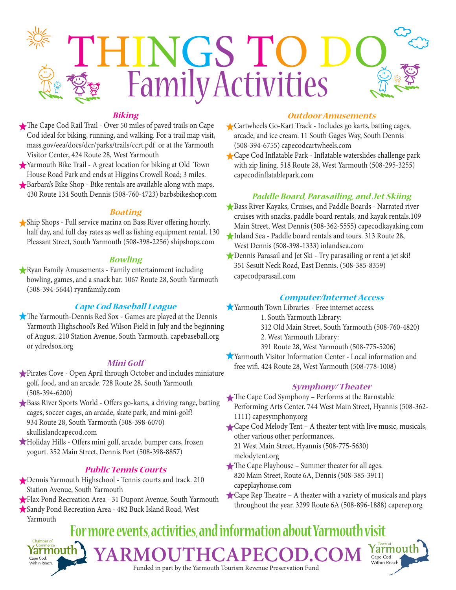

# **Biking**

- The Cape Cod Rail Trail Over 50 miles of paved trails on Cape Cod ideal for biking, running, and walking. For a trail map visit, mass.gov/eea/docs/dcr/parks/trails/ccrt.pdf or at the Yarmouth Visitor Center, 424 Route 28, West Yarmouth
- Yarmouth Bike Trail A great location for biking at Old Town House Road Park and ends at Higgins Crowell Road; 3 miles.
- Barbara's Bike Shop Bike rentals are available along with maps. 430 Route 134 South Dennis (508-760-4723) barbsbikeshop.com

#### **Boating**

Ship Shops - Full service marina on Bass River offering hourly, half day, and full day rates as well as fishing equipment rental. 130 Pleasant Street, South Yarmouth (508-398-2256) shipshops.com

### **Bowling**

Ryan Family Amusements - Family entertainment including bowling, games, and a snack bar. 1067 Route 28, South Yarmouth (508-394-5644) ryanfamily.com

## **Cape Cod Baseball League**

The Yarmouth-Dennis Red Sox - Games are played at the Dennis Yarmouth Highschool's Red Wilson Field in July and the beginning of August. 210 Station Avenue, South Yarmouth. capebaseball.org or ydredsox.org

#### **Mini Golf**

- Pirates Cove Open April through October and includes miniature golf, food, and an arcade. 728 Route 28, South Yarmouth (508-394-6200)
- Bass River Sports World Offers go-karts, a driving range, batting cages, soccer cages, an arcade, skate park, and mini-golf! 934 Route 28, South Yarmouth (508-398-6070) skullislandcapecod.com
- Holiday Hills Offers mini golf, arcade, bumper cars, frozen yogurt. 352 Main Street, Dennis Port (508-398-8857)

### **Public Tennis Courts**

- Dennis Yarmouth Highschool Tennis courts and track. 210 Station Avenue, South Yarmouth
- Flax Pond Recreation Area 31 Dupont Avenue, South Yarmouth
- Sandy Pond Recreation Area 482 Buck Island Road, West Yarmouth

#### **Outdoor Amusements**

- Cartwheels Go-Kart Track Includes go karts, batting cages, arcade, and ice cream. 11 South Gages Way, South Dennis (508-394-6755) capecodcartwheels.com
- Cape Cod Inflatable Park Inflatable waterslides challenge park with zip lining. 518 Route 28, West Yarmouth (508-295-3255) capecodinflatablepark.com

#### **Paddle Board, Parasailing, and Jet Skiing**

- Bass River Kayaks, Cruises, and Paddle Boards Narrated river cruises with snacks, paddle board rentals, and kayak rentals.109 Main Street, West Dennis (508-362-5555) capecodkayaking.com
- Inland Sea Paddle board rentals and tours. 313 Route 28, West Dennis (508-398-1333) inlandsea.com
- Dennis Parasail and Jet Ski Try parasailing or rent a jet ski! 351 Sesuit Neck Road, East Dennis. (508-385-8359) capecodparasail.com

### **Computer/Internet Access**

- Yarmouth Town Libraries Free internet access.
	- 1. South Yarmouth Library:
	- 312 Old Main Street, South Yarmouth (508-760-4820)
	- 2. West Yarmouth Library:
	- 391 Route 28, West Yarmouth (508-775-5206)
- Yarmouth Visitor Information Center Local information and free wifi. 424 Route 28, West Yarmouth (508-778-1008)

#### **Symphony/ Theater**

- The Cape Cod Symphony Performs at the Barnstable Performing Arts Center. 744 West Main Street, Hyannis (508-362- 1111) capesymphony.org
- Cape Cod Melody Tent A theater tent with live music, musicals, other various other performances.

21 West Main Street, Hyannis (508-775-5630) melodytent.org

- The Cape Playhouse Summer theater for all ages. 820 Main Street, Route 6A, Dennis (508-385-3911) capeplayhouse.com
- Cape Rep Theatre A theater with a variety of musicals and plays throughout the year. 3299 Route 6A (508-896-1888) caperep.org

#### **For more events, activities, and information about Yarmouth visit** Chamber of Yarmout Yarmouth  $A$ RMOUTHCAPECOD. Cape Cod Cape Cod.<br>Within Reach. Within Reach Funded in part by the Yarmouth Tourism Revenue Preservation Fund